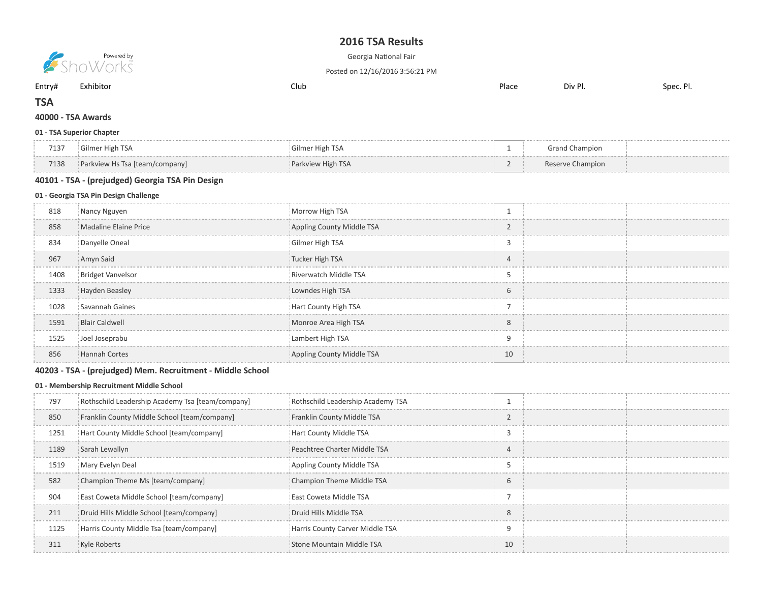# TSA Results



**Example 19** 

Posted on 12/16/2016 3:56:21 PM

Entry# Exhibitor Club Place Div Pl. Spec. Pl.

# **TSA**

### - TSA Awards

#### - TSA Superior Chapter

| 7137 | Gilmer High TSA                | Gilmer High TSA   | <b>Grand Champion</b> |  |
|------|--------------------------------|-------------------|-----------------------|--|
| 7138 | Parkview Hs Tsa [team/company] | Parkview High TSA | Reserve Champion      |  |

### - TSA - (prejudged) Georgia TSA Pin Design

#### - Georgia TSA Pin Design Challenge

| 818  | Nancy Nguyen             | Morrow High TSA           |                |  |
|------|--------------------------|---------------------------|----------------|--|
| 858  | Madaline Elaine Price    | Appling County Middle TSA | $\mathcal{L}$  |  |
| 834  | Danyelle Oneal           | Gilmer High TSA           | 3              |  |
| 967  | Amyn Said                | Tucker High TSA           | $\overline{4}$ |  |
| 1408 | <b>Bridget Vanvelsor</b> | Riverwatch Middle TSA     |                |  |
| 1333 | Hayden Beasley           | Lowndes High TSA          | 6              |  |
| 1028 | Savannah Gaines          | Hart County High TSA      | -              |  |
| 1591 | <b>Blair Caldwell</b>    | Monroe Area High TSA      | 8              |  |
| 1525 | Joel Joseprabu           | Lambert High TSA          | 9              |  |
| 856  | <b>Hannah Cortes</b>     | Appling County Middle TSA | 10             |  |

### - TSA - (prejudged) Mem. Recruitment - Middle School

#### - Membership Recruitment Middle School

| 797  | Rothschild Leadership Academy Tsa [team/company] | Rothschild Leadership Academy TSA |               |  |
|------|--------------------------------------------------|-----------------------------------|---------------|--|
| 850  | Franklin County Middle School [team/company]     | Franklin County Middle TSA        |               |  |
| 1251 | Hart County Middle School [team/company]         | Hart County Middle TSA            | -2            |  |
| 1189 | Sarah Lewallyn                                   | Peachtree Charter Middle TSA      |               |  |
| 1519 | Mary Evelyn Deal                                 | Appling County Middle TSA         |               |  |
| 582  | Champion Theme Ms [team/company]                 | Champion Theme Middle TSA         | $\mathfrak b$ |  |
| 904  | East Coweta Middle School [team/company]         | East Coweta Middle TSA            |               |  |
| 211  | Druid Hills Middle School [team/company]         | Druid Hills Middle TSA            | 8             |  |
| 1125 | Harris County Middle Tsa [team/company]          | Harris County Carver Middle TSA   | q             |  |
| 311  | Kyle Roberts                                     | Stone Mountain Middle TSA         | 10            |  |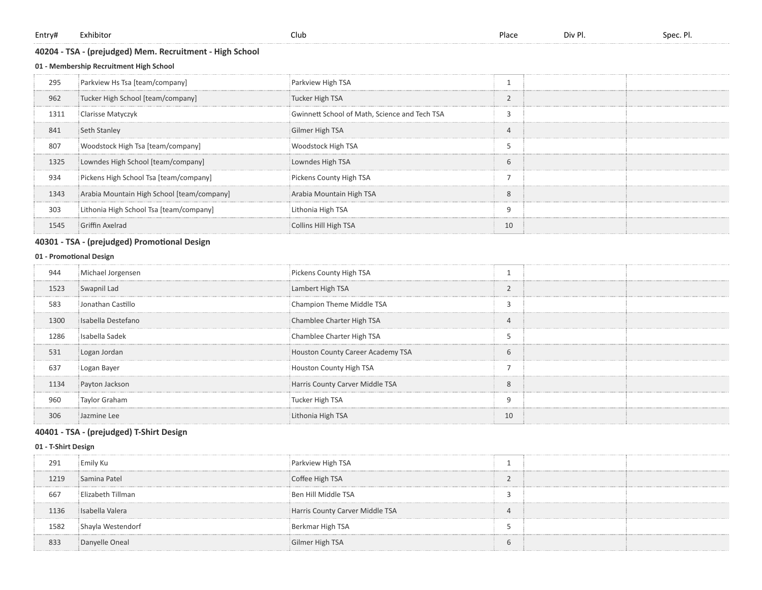| Entry# | Exhibitor |
|--------|-----------|
|--------|-----------|

### - TSA - (prejudged) Mem. Recruitment - High School

### - Membership Recruitment High School

| 295  | Parkview Hs Tsa [team/company]             | Parkview High TSA                             |                   |  |
|------|--------------------------------------------|-----------------------------------------------|-------------------|--|
| 962  | Tucker High School [team/company]          | Tucker High TSA                               | $\mathbf{\Omega}$ |  |
| 1311 | Clarisse Matyczyk                          | Gwinnett School of Math, Science and Tech TSA | -2                |  |
| 841  | Seth Stanley                               | Gilmer High TSA                               | 4                 |  |
| 807  | Woodstock High Tsa [team/company]          | Woodstock High TSA                            |                   |  |
| 1325 | Lowndes High School [team/company]         | Lowndes High TSA                              | 6                 |  |
| 934  | Pickens High School Tsa [team/company]     | Pickens County High TSA                       |                   |  |
| 1343 | Arabia Mountain High School [team/company] | Arabia Mountain High TSA                      | 8                 |  |
| 303  | Lithonia High School Tsa [team/company]    | Lithonia High TSA                             | q                 |  |
| 1545 | Griffin Axelrad                            | <b>Collins Hill High TSA</b>                  | 10                |  |

### 40301 - TSA - (prejudged) Promotional Design

### 01 - Promotional Design

| 944  | Michael Jorgensen  | Pickens County High TSA           |                |  |
|------|--------------------|-----------------------------------|----------------|--|
| 1523 | Swapnil Lad        | Lambert High TSA                  |                |  |
| 583  | Jonathan Castillo  | Champion Theme Middle TSA         | ∍              |  |
| 1300 | Isabella Destefano | Chamblee Charter High TSA         | $\overline{4}$ |  |
| 1286 | i Isabella Sadek   | Chamblee Charter High TSA         |                |  |
| 531  | Logan Jordan       | Houston County Career Academy TSA | 6              |  |
| 637  | Logan Bayer        | Houston County High TSA           |                |  |
| 1134 | Payton Jackson     | Harris County Carver Middle TSA   | 8              |  |
| 960  | Taylor Graham      | Tucker High TSA                   | 9              |  |
| 306  | Jazmine Lee        | Lithonia High TSA                 | 10             |  |

### - TSA - (prejudged) T-Shirt Design

#### - T-Shirt Design

| 291  | Emily Ku          | Parkview High TSA               |  |  |
|------|-------------------|---------------------------------|--|--|
| 1219 | Samina Patel      | Coffee High TSA                 |  |  |
| 667  | Elizabeth Tillman | Ben Hill Middle TSA             |  |  |
| 1136 | i Isabella Valera | Harris County Carver Middle TSA |  |  |
| 1582 | Shayla Westendorf | Berkmar High TSA                |  |  |
| 833  | Danyelle Oneal    | Gilmer High TSA                 |  |  |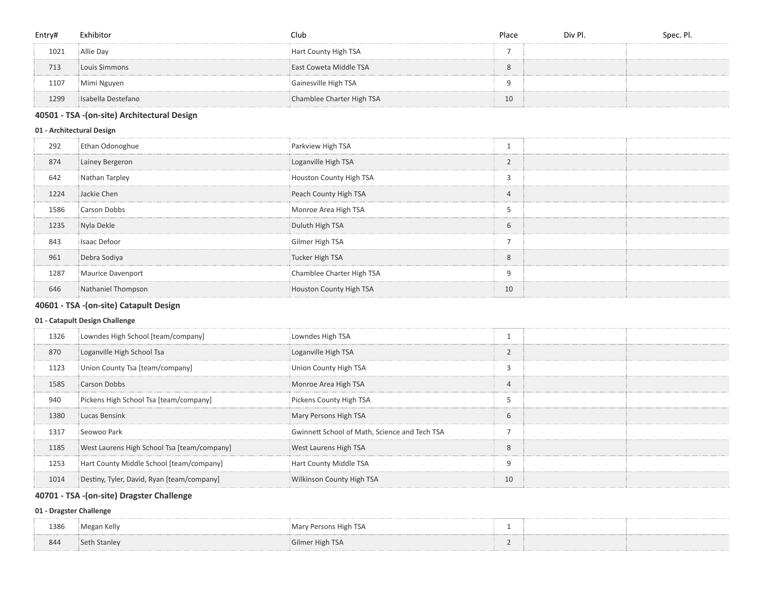| Entry# | Exhibitor          | Club                      | Place | Div Pl. | Spec. Pl. |
|--------|--------------------|---------------------------|-------|---------|-----------|
| 1021   | Allie Day          | Hart County High TSA      |       |         |           |
| 713    | Louis Simmons      | East Coweta Middle TSA    |       |         |           |
| 1107   | Mimi Nguyen        | Gainesville High TSA      |       |         |           |
| 1299   | Isabella Destefano | Chamblee Charter High TSA | 10    |         |           |

### - TSA -(on-site) Architectural Design

### - Architectural Design

| 292  | Ethan Odonoghue    | Parkview High TSA         |            |  |
|------|--------------------|---------------------------|------------|--|
| 874  | Lainey Bergeron    | Loganville High TSA       | $\sqrt{2}$ |  |
| 642  | Nathan Tarpley     | Houston County High TSA   |            |  |
| 1224 | Jackie Chen        | Peach County High TSA     | 4          |  |
| 1586 | Carson Dobbs       | Monroe Area High TSA      |            |  |
| 1235 | Nyla Dekle         | Duluth High TSA           | 6          |  |
| 843  | Isaac Defoor       | Gilmer High TSA           |            |  |
| 961  | Debra Sodiya       | Tucker High TSA           | 8          |  |
| 1287 | Maurice Davenport  | Chamblee Charter High TSA | 9          |  |
| 646  | Nathaniel Thompson | Houston County High TSA   | 10         |  |

# - TSA -(on-site) Catapult Design

## - Catapult Design Challenge

| 1326 | Lowndes High School [team/company]          | Lowndes High TSA                              |                        |  |
|------|---------------------------------------------|-----------------------------------------------|------------------------|--|
| 870  | Loganville High School Tsa                  | Loganville High TSA                           | $\sim$                 |  |
| 1123 | Union County Tsa [team/company]             | Union County High TSA                         | $\mathbf{\hat{}}$<br>∍ |  |
| 1585 | Carson Dobbs                                | Monroe Area High TSA                          | $\Delta$               |  |
| 940  | Pickens High School Tsa [team/company]      | Pickens County High TSA                       |                        |  |
| 1380 | Lucas Bensink                               | Mary Persons High TSA                         | 6                      |  |
| 1317 | Seowoo Park                                 | Gwinnett School of Math, Science and Tech TSA |                        |  |
| 1185 | West Laurens High School Tsa [team/company] | West Laurens High TSA                         | 8                      |  |
| 1253 | Hart County Middle School [team/company]    | Hart County Middle TSA                        | 9                      |  |
| 1014 | Destiny, Tyler, David, Ryan [team/company]  | <b>Wilkinson County High TSA</b>              | 10                     |  |
|      |                                             |                                               |                        |  |

# - TSA -(on-site) Dragster Challenge

### - Dragster Challenge

| 1386 | Megan Kelly  | Mary Persons High TSA |  |
|------|--------------|-----------------------|--|
|      |              |                       |  |
| 844  | Seth Stanley | Gilmer High TSA       |  |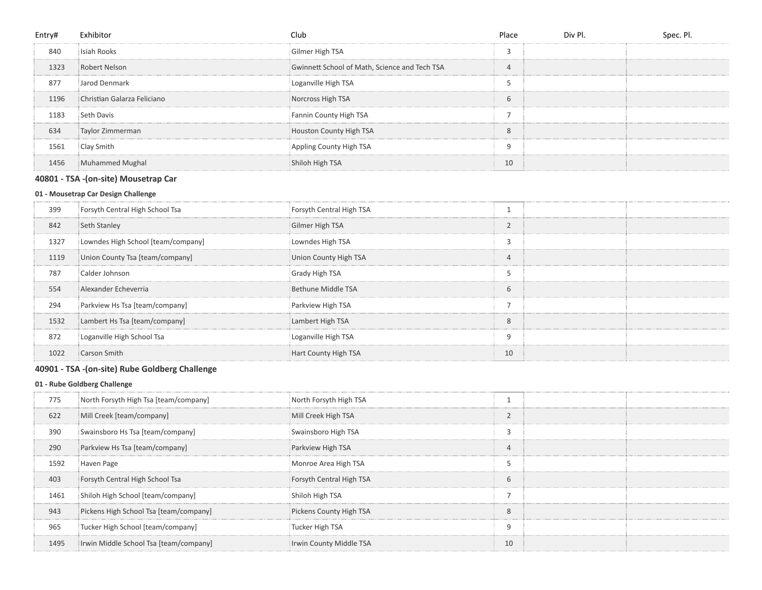| Entry# | Exhibitor                   | Club                                          | Place         | Div Pl. | Spec. Pl. |
|--------|-----------------------------|-----------------------------------------------|---------------|---------|-----------|
| 840    | Isiah Rooks                 | Gilmer High TSA                               | $\sqrt{2}$    |         |           |
| 1323   | Robert Nelson               | Gwinnett School of Math, Science and Tech TSA | 4             |         |           |
| 877    | Jarod Denmark               | Loganville High TSA                           |               |         |           |
| 1196   | Christian Galarza Feliciano | Norcross High TSA                             | $\mathfrak b$ |         |           |
| 1183   | Seth Davis                  | Fannin County High TSA                        |               |         |           |
| 634    | Taylor Zimmerman            | Houston County High TSA                       | 8             |         |           |
| 1561   | Clay Smith                  | Appling County High TSA                       | q             |         |           |
| 1456   | Muhammed Mughal             | Shiloh High TSA                               | 10            |         |           |

### - TSA -(on-site) Mousetrap Car

### - Mousetrap Car Design Challenge

| 399  | Forsyth Central High School Tsa    | Forsyth Central High TSA |                         |  |
|------|------------------------------------|--------------------------|-------------------------|--|
| 842  | Seth Stanley                       | Gilmer High TSA          | $\sim$                  |  |
| 1327 | Lowndes High School [team/company] | Lowndes High TSA         |                         |  |
| 1119 | Union County Tsa [team/company]    | Union County High TSA    | $\overline{4}$          |  |
| 787  | Calder Johnson                     | <b>Grady High TSA</b>    |                         |  |
| 554  | Alexander Echeverria               | Bethune Middle TSA       | 6                       |  |
| 294  | Parkview Hs Tsa [team/company]     | Parkview High TSA        |                         |  |
| 1532 | Lambert Hs Tsa [team/company]      | Lambert High TSA         | $\mathsf{\overline{8}}$ |  |
| 872  | Loganville High School Tsa         | Loganville High TSA      | Q                       |  |
| 1022 | Carson Smith                       | Hart County High TSA     | 10                      |  |

# - TSA -(on-site) Rube Goldberg Challenge

### - Rube Goldberg Challenge

| 775  | North Forsyth High Tsa [team/company]  | North Forsyth High TSA   |    |  |
|------|----------------------------------------|--------------------------|----|--|
| 622  | Mill Creek [team/company]              | Mill Creek High TSA      |    |  |
| 390  | Swainsboro Hs Tsa [team/company]       | Swainsboro High TSA      |    |  |
| 290  | Parkview Hs Tsa [team/company]         | Parkview High TSA        |    |  |
| 1592 | Haven Page                             | Monroe Area High TSA     |    |  |
| 403  | Forsyth Central High School Tsa        | Forsyth Central High TSA | 6  |  |
| 1461 | Shiloh High School [team/company]      | Shiloh High TSA          |    |  |
| 943  | Pickens High School Tsa [team/company] | Pickens County High TSA  | 8  |  |
| 965  | Tucker High School [team/company]      | Tucker High TSA          | 9  |  |
| 1495 | Irwin Middle School Tsa [team/company] | Irwin County Middle TSA  | 10 |  |